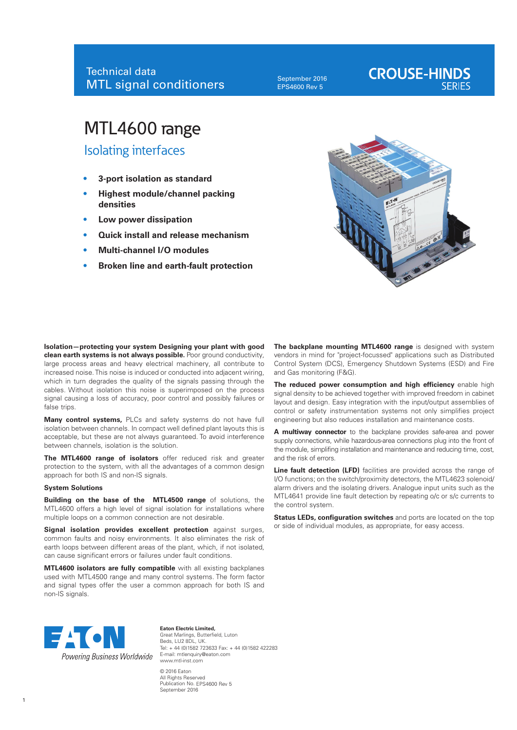September 2016 EPS4600 Rev 5

# **CROUSE-HINDS**

## MTL4600 range

Isolating interfaces

- **• 3-port isolation as standard**
- **• Highest module/channel packing densities**
- **• Low power dissipation**
- **• Quick install and release mechanism**
- **• Multi-channel I/O modules**
- **• Broken line and earth-fault protection**



**Isolation—protecting your system Designing your plant with good clean earth systems is not always possible.** Poor ground conductivity, large process areas and heavy electrical machinery, all contribute to increased noise. This noise is induced or conducted into adjacent wiring, which in turn degrades the quality of the signals passing through the cables. Without isolation this noise is superimposed on the process signal causing a loss of accuracy, poor control and possibly failures or false trips.

**Many control systems,** PLCs and safety systems do not have full isolation between channels. In compact well defined plant layouts this is acceptable, but these are not always guaranteed. To avoid interference between channels, isolation is the solution.

**The MTL4600 range of isolators** offer reduced risk and greater protection to the system, with all the advantages of a common design approach for both IS and non-IS signals.

#### **System Solutions**

**Building on the base of the MTL4500 range** of solutions, the MTL4600 offers a high level of signal isolation for installations where multiple loops on a common connection are not desirable.

**Signal isolation provides excellent protection** against surges, common faults and noisy environments. It also eliminates the risk of earth loops between different areas of the plant, which, if not isolated, can cause significant errors or failures under fault conditions.

**MTL4600 isolators are fully compatible** with all existing backplanes used with MTL4500 range and many control systems. The form factor and signal types offer the user a common approach for both IS and non-IS signals.

The backplane mounting MTL4600 range is designed with system vendors in mind for "project-focussed" applications such as Distributed Control System (DCS), Emergency Shutdown Systems (ESD) and Fire and Gas monitoring (F&G).

**The reduced power consumption and high efficiency** enable high signal density to be achieved together with improved freedom in cabinet layout and design. Easy integration with the input/output assemblies of control or safety instrumentation systems not only simplifies project engineering but also reduces installation and maintenance costs.

**A multiway connector** to the backplane provides safe-area and power supply connections, while hazardous-area connections plug into the front of the module, simplifing installation and maintenance and reducing time, cost, and the risk of errors.

**Line fault detection (LFD)** facilities are provided across the range of I/O functions; on the switch/proximity detectors, the MTL4623 solenoid/ alarm drivers and the isolating drivers. Analogue input units such as the MTL4641 provide line fault detection by repeating o/c or s/c currents to the control system.

**Status LEDs, configuration switches** and ports are located on the top or side of individual modules, as appropriate, for easy access.



**Eaton Electric Limited,** Great Marlings, Butterfield, Luton Beds, LU2 8DL, UK. Tel: + 44 (0)1582 723633 Fax: + 44 (0)1582 422283 E-mail: mtlenquiry@eaton.com www.mtl-inst.com © 2016 Eaton

Publication No. EPS4600 Rev 5 All Rights Reserved September 2016